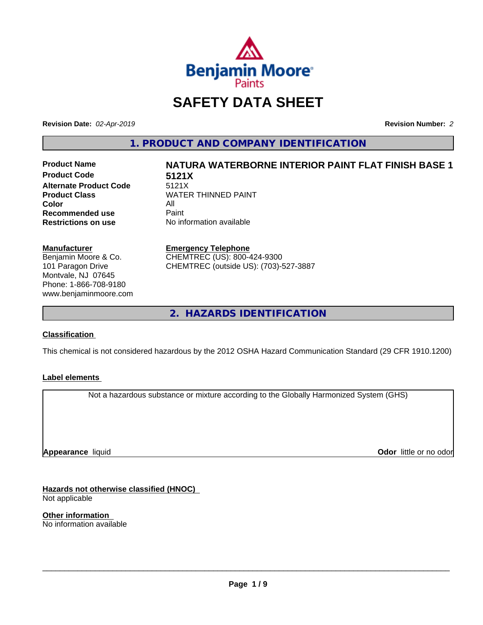

# **SAFETY DATA SHEET**

**Revision Date:** *02-Apr-2019* **Revision Number:** *2*

**1. PRODUCT AND COMPANY IDENTIFICATION**

**Product Code 5121X Alternate Product Code 5121X**<br>Product Class WATEI **Color** All All<br>**Recommended use** Paint **Recommended use**<br>Restrictions on use

# **Product Name NATURA WATERBORNE INTERIOR PAINT FLAT FINISH BASE 1**

**WATER THINNED PAINT No information available** 

**Manufacturer**

Benjamin Moore & Co. 101 Paragon Drive Montvale, NJ 07645 Phone: 1-866-708-9180 www.benjaminmoore.com

#### **Emergency Telephone**

CHEMTREC (US): 800-424-9300 CHEMTREC (outside US): (703)-527-3887

**2. HAZARDS IDENTIFICATION**

#### **Classification**

This chemical is not considered hazardous by the 2012 OSHA Hazard Communication Standard (29 CFR 1910.1200)

#### **Label elements**

Not a hazardous substance or mixture according to the Globally Harmonized System (GHS)

**Appearance** liquid

**Odor** little or no odor

**Hazards not otherwise classified (HNOC)** Not applicable

**Other information** No information available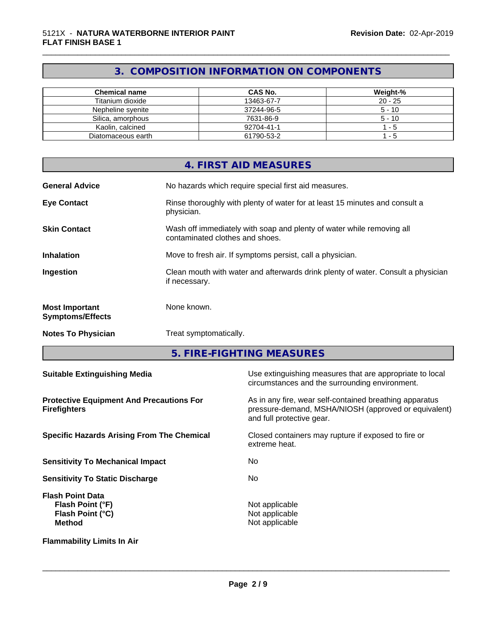# **3. COMPOSITION INFORMATION ON COMPONENTS**

\_\_\_\_\_\_\_\_\_\_\_\_\_\_\_\_\_\_\_\_\_\_\_\_\_\_\_\_\_\_\_\_\_\_\_\_\_\_\_\_\_\_\_\_\_\_\_\_\_\_\_\_\_\_\_\_\_\_\_\_\_\_\_\_\_\_\_\_\_\_\_\_\_\_\_\_\_\_\_\_\_\_\_\_\_\_\_\_\_\_\_\_\_

| <b>Chemical name</b> | CAS No.    | Weight-%  |
|----------------------|------------|-----------|
| Titanium dioxide     | 13463-67-7 | $20 - 25$ |
| Nepheline svenite    | 37244-96-5 | $5 - 10$  |
| Silica, amorphous    | 7631-86-9  | $5 - 10$  |
| Kaolin, calcined     | 92704-41-1 | - 5       |
| Diatomaceous earth   | 61790-53-2 | - 5       |

|                                                  | 4. FIRST AID MEASURES                                                                                    |
|--------------------------------------------------|----------------------------------------------------------------------------------------------------------|
| <b>General Advice</b>                            | No hazards which require special first aid measures.                                                     |
| <b>Eye Contact</b>                               | Rinse thoroughly with plenty of water for at least 15 minutes and consult a<br>physician.                |
| <b>Skin Contact</b>                              | Wash off immediately with soap and plenty of water while removing all<br>contaminated clothes and shoes. |
| <b>Inhalation</b>                                | Move to fresh air. If symptoms persist, call a physician.                                                |
| Ingestion                                        | Clean mouth with water and afterwards drink plenty of water. Consult a physician<br>if necessary.        |
| <b>Most Important</b><br><b>Symptoms/Effects</b> | None known.                                                                                              |
| <b>Notes To Physician</b>                        | Treat symptomatically.                                                                                   |

**5. FIRE-FIGHTING MEASURES**

| <b>Suitable Extinguishing Media</b>                                              | Use extinguishing measures that are appropriate to local<br>circumstances and the surrounding environment.                                   |
|----------------------------------------------------------------------------------|----------------------------------------------------------------------------------------------------------------------------------------------|
| <b>Protective Equipment And Precautions For</b><br><b>Firefighters</b>           | As in any fire, wear self-contained breathing apparatus<br>pressure-demand, MSHA/NIOSH (approved or equivalent)<br>and full protective gear. |
| <b>Specific Hazards Arising From The Chemical</b>                                | Closed containers may rupture if exposed to fire or<br>extreme heat.                                                                         |
| <b>Sensitivity To Mechanical Impact</b>                                          | No.                                                                                                                                          |
| <b>Sensitivity To Static Discharge</b>                                           | No.                                                                                                                                          |
| <b>Flash Point Data</b><br>Flash Point (°F)<br>Flash Point (°C)<br><b>Method</b> | Not applicable<br>Not applicable<br>Not applicable                                                                                           |
| <b>Flammability Limits In Air</b>                                                |                                                                                                                                              |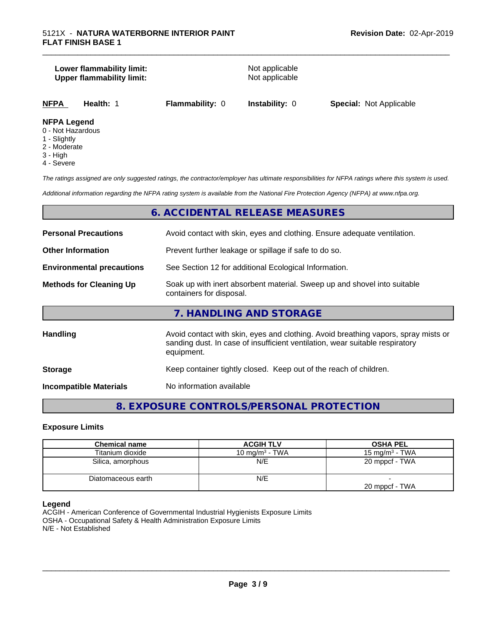#### **Lower flammability limit:**<br>
Upper flammability limit:<br>
Upper flammability limit:<br>
Not applicable **Upper flammability limit:**

\_\_\_\_\_\_\_\_\_\_\_\_\_\_\_\_\_\_\_\_\_\_\_\_\_\_\_\_\_\_\_\_\_\_\_\_\_\_\_\_\_\_\_\_\_\_\_\_\_\_\_\_\_\_\_\_\_\_\_\_\_\_\_\_\_\_\_\_\_\_\_\_\_\_\_\_\_\_\_\_\_\_\_\_\_\_\_\_\_\_\_\_\_

**NFPA Health:** 1 **Flammability:** 0 **Instability:** 0 **Special:** Not Applicable

#### **NFPA Legend**

- 0 Not Hazardous
- 1 Slightly
- 2 Moderate
- 3 High
- 4 Severe

*The ratings assigned are only suggested ratings, the contractor/employer has ultimate responsibilities for NFPA ratings where this system is used.*

*Additional information regarding the NFPA rating system is available from the National Fire Protection Agency (NFPA) at www.nfpa.org.*

## **6. ACCIDENTAL RELEASE MEASURES**

| <b>Personal Precautions</b>      | Avoid contact with skin, eyes and clothing. Ensure adequate ventilation.                                                                                                         |
|----------------------------------|----------------------------------------------------------------------------------------------------------------------------------------------------------------------------------|
| <b>Other Information</b>         | Prevent further leakage or spillage if safe to do so.                                                                                                                            |
| <b>Environmental precautions</b> | See Section 12 for additional Ecological Information.                                                                                                                            |
| <b>Methods for Cleaning Up</b>   | Soak up with inert absorbent material. Sweep up and shovel into suitable<br>containers for disposal.                                                                             |
|                                  | 7. HANDLING AND STORAGE                                                                                                                                                          |
| <b>Handling</b>                  | Avoid contact with skin, eyes and clothing. Avoid breathing vapors, spray mists or<br>sanding dust. In case of insufficient ventilation, wear suitable respiratory<br>equipment. |
| <b>Storage</b>                   | Keep container tightly closed. Keep out of the reach of children.                                                                                                                |
| <b>Incompatible Materials</b>    | No information available                                                                                                                                                         |

# **8. EXPOSURE CONTROLS/PERSONAL PROTECTION**

#### **Exposure Limits**

| <b>Chemical name</b> | <b>ACGIH TLV</b>  | <b>OSHA PEL</b>   |
|----------------------|-------------------|-------------------|
| Titanium dioxide     | 10 mg/m $3$ - TWA | 15 mg/m $3$ - TWA |
| Silica, amorphous    | N/E               | 20 mppcf - TWA    |
| Diatomaceous earth   | N/E               |                   |
|                      |                   | 20 mppcf - TWA    |

#### **Legend**

ACGIH - American Conference of Governmental Industrial Hygienists Exposure Limits OSHA - Occupational Safety & Health Administration Exposure Limits N/E - Not Established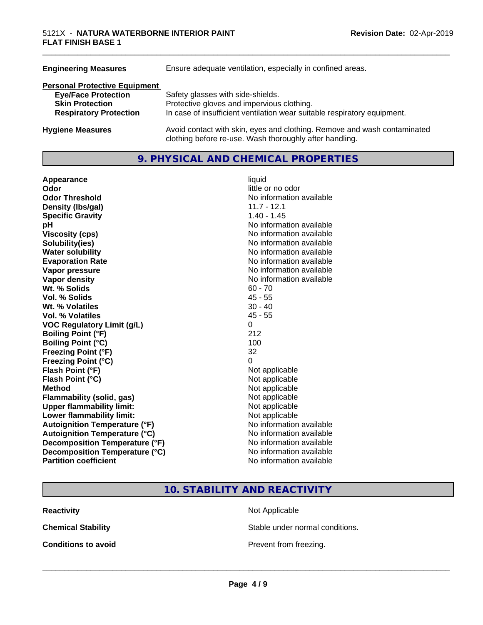| <b>Engineering Measures</b>          | Ensure adequate ventilation, especially in confined areas.                                                                          |
|--------------------------------------|-------------------------------------------------------------------------------------------------------------------------------------|
| <b>Personal Protective Equipment</b> |                                                                                                                                     |
| <b>Eye/Face Protection</b>           | Safety glasses with side-shields.                                                                                                   |
| <b>Skin Protection</b>               | Protective gloves and impervious clothing.                                                                                          |
| <b>Respiratory Protection</b>        | In case of insufficient ventilation wear suitable respiratory equipment.                                                            |
| <b>Hygiene Measures</b>              | Avoid contact with skin, eyes and clothing. Remove and wash contaminated<br>clothing before re-use. Wash thoroughly after handling. |

# **9. PHYSICAL AND CHEMICAL PROPERTIES**

| Appearance                           | liquid                   |
|--------------------------------------|--------------------------|
| Odor                                 | little or no odor        |
| <b>Odor Threshold</b>                | No information available |
| Density (Ibs/gal)                    | $11.7 - 12.1$            |
| <b>Specific Gravity</b>              | 1.40 - 1.45              |
| рH                                   | No information available |
| <b>Viscosity (cps)</b>               | No information available |
| Solubility(ies)                      | No information available |
| <b>Water solubility</b>              | No information available |
| <b>Evaporation Rate</b>              | No information available |
| Vapor pressure                       | No information available |
| Vapor density                        | No information available |
| Wt. % Solids                         | $60 - 70$                |
| Vol. % Solids                        | $45 - 55$                |
| Wt. % Volatiles                      | $30 - 40$                |
| Vol. % Volatiles                     | $45 - 55$                |
| <b>VOC Regulatory Limit (g/L)</b>    | 0                        |
| <b>Boiling Point (°F)</b>            | 212                      |
| <b>Boiling Point (°C)</b>            | 100                      |
| <b>Freezing Point (°F)</b>           | 32                       |
| <b>Freezing Point (°C)</b>           | 0                        |
| Flash Point (°F)                     | Not applicable           |
| Flash Point (°C)                     | Not applicable           |
| <b>Method</b>                        | Not applicable           |
| <b>Flammability (solid, gas)</b>     | Not applicable           |
| <b>Upper flammability limit:</b>     | Not applicable           |
| Lower flammability limit:            | Not applicable           |
| <b>Autoignition Temperature (°F)</b> | No information available |
| <b>Autoignition Temperature (°C)</b> | No information available |
| Decomposition Temperature (°F)       | No information available |
| Decomposition Temperature (°C)       | No information available |
| <b>Partition coefficient</b>         | No information available |

# little or no odor **No information available No information available Viscosity (cps)** No information available **No information available No information available Evaporation Rate** No information available **No information available No information available**<br>60 - 70 **Not applicable Not applicable** Not applicable **Flammability (solid, gas)** Not applicable **Not applicable Not applicable No information available Autoignition Temperature (°C)** No information available **No information available No information available**

\_\_\_\_\_\_\_\_\_\_\_\_\_\_\_\_\_\_\_\_\_\_\_\_\_\_\_\_\_\_\_\_\_\_\_\_\_\_\_\_\_\_\_\_\_\_\_\_\_\_\_\_\_\_\_\_\_\_\_\_\_\_\_\_\_\_\_\_\_\_\_\_\_\_\_\_\_\_\_\_\_\_\_\_\_\_\_\_\_\_\_\_\_

# **10. STABILITY AND REACTIVITY**

**Reactivity** Not Applicable

**Chemical Stability Stable under normal conditions.** 

**Conditions to avoid Conditions to avoid Prevent from freezing.**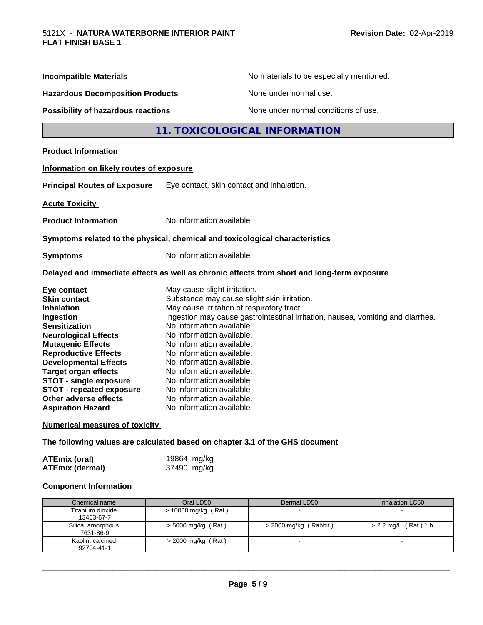| <b>Incompatible Materials</b>                                                                                                                                                                                                                                                                                                                      | No materials to be especially mentioned.                                                                                                                                                                                                                                                                                                                                                                                                                                       |
|----------------------------------------------------------------------------------------------------------------------------------------------------------------------------------------------------------------------------------------------------------------------------------------------------------------------------------------------------|--------------------------------------------------------------------------------------------------------------------------------------------------------------------------------------------------------------------------------------------------------------------------------------------------------------------------------------------------------------------------------------------------------------------------------------------------------------------------------|
| <b>Hazardous Decomposition Products</b>                                                                                                                                                                                                                                                                                                            | None under normal use.                                                                                                                                                                                                                                                                                                                                                                                                                                                         |
| Possibility of hazardous reactions                                                                                                                                                                                                                                                                                                                 | None under normal conditions of use.                                                                                                                                                                                                                                                                                                                                                                                                                                           |
|                                                                                                                                                                                                                                                                                                                                                    | 11. TOXICOLOGICAL INFORMATION                                                                                                                                                                                                                                                                                                                                                                                                                                                  |
| <b>Product Information</b>                                                                                                                                                                                                                                                                                                                         |                                                                                                                                                                                                                                                                                                                                                                                                                                                                                |
| Information on likely routes of exposure                                                                                                                                                                                                                                                                                                           |                                                                                                                                                                                                                                                                                                                                                                                                                                                                                |
| <b>Principal Routes of Exposure</b>                                                                                                                                                                                                                                                                                                                | Eye contact, skin contact and inhalation.                                                                                                                                                                                                                                                                                                                                                                                                                                      |
| <b>Acute Toxicity</b>                                                                                                                                                                                                                                                                                                                              |                                                                                                                                                                                                                                                                                                                                                                                                                                                                                |
| <b>Product Information</b>                                                                                                                                                                                                                                                                                                                         | No information available                                                                                                                                                                                                                                                                                                                                                                                                                                                       |
|                                                                                                                                                                                                                                                                                                                                                    | Symptoms related to the physical, chemical and toxicological characteristics                                                                                                                                                                                                                                                                                                                                                                                                   |
| <b>Symptoms</b>                                                                                                                                                                                                                                                                                                                                    | No information available                                                                                                                                                                                                                                                                                                                                                                                                                                                       |
|                                                                                                                                                                                                                                                                                                                                                    | Delayed and immediate effects as well as chronic effects from short and long-term exposure                                                                                                                                                                                                                                                                                                                                                                                     |
| Eye contact<br><b>Skin contact</b><br><b>Inhalation</b><br>Ingestion<br><b>Sensitization</b><br><b>Neurological Effects</b><br><b>Mutagenic Effects</b><br><b>Reproductive Effects</b><br><b>Developmental Effects</b><br><b>Target organ effects</b><br><b>STOT - single exposure</b><br><b>STOT - repeated exposure</b><br>Other adverse effects | May cause slight irritation.<br>Substance may cause slight skin irritation.<br>May cause irritation of respiratory tract.<br>Ingestion may cause gastrointestinal irritation, nausea, vomiting and diarrhea.<br>No information available<br>No information available.<br>No information available.<br>No information available.<br>No information available.<br>No information available.<br>No information available<br>No information available<br>No information available. |

\_\_\_\_\_\_\_\_\_\_\_\_\_\_\_\_\_\_\_\_\_\_\_\_\_\_\_\_\_\_\_\_\_\_\_\_\_\_\_\_\_\_\_\_\_\_\_\_\_\_\_\_\_\_\_\_\_\_\_\_\_\_\_\_\_\_\_\_\_\_\_\_\_\_\_\_\_\_\_\_\_\_\_\_\_\_\_\_\_\_\_\_\_

**Numerical measures of toxicity**

**The following values are calculated based on chapter 3.1 of the GHS document**

| <b>ATEmix (oral)</b>   | 19864 mg/kg |
|------------------------|-------------|
| <b>ATEmix (dermal)</b> | 37490 mg/kg |

#### **Component Information**

| Chemical name                  | Oral LD50             | Dermal LD50           | Inhalation LC50        |
|--------------------------------|-----------------------|-----------------------|------------------------|
| Titanium dioxide<br>13463-67-7 | $> 10000$ mg/kg (Rat) |                       |                        |
| Silica, amorphous<br>7631-86-9 | $>$ 5000 mg/kg (Rat)  | > 2000 mg/kg (Rabbit) | $> 2.2$ mg/L (Rat) 1 h |
| Kaolin, calcined<br>92704-41-1 | $>$ 2000 mg/kg (Rat)  |                       |                        |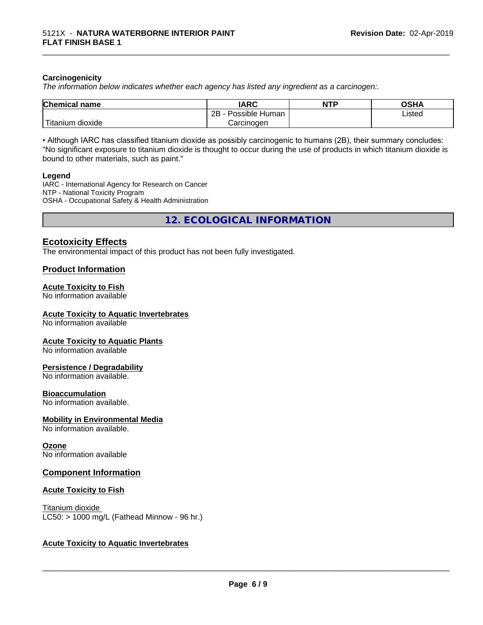#### **Carcinogenicity**

*The information below indicateswhether each agency has listed any ingredient as a carcinogen:.*

| <b>Chemical name</b>                    | <b>IARC</b>               | <b>NTP</b> | <b>OSHA</b> |
|-----------------------------------------|---------------------------|------------|-------------|
|                                         | .<br>2B<br>Possible Human |            | Listed      |
| بالمواقعة المراد<br>dioxide<br>Titanium | Carcinogen                |            |             |

\_\_\_\_\_\_\_\_\_\_\_\_\_\_\_\_\_\_\_\_\_\_\_\_\_\_\_\_\_\_\_\_\_\_\_\_\_\_\_\_\_\_\_\_\_\_\_\_\_\_\_\_\_\_\_\_\_\_\_\_\_\_\_\_\_\_\_\_\_\_\_\_\_\_\_\_\_\_\_\_\_\_\_\_\_\_\_\_\_\_\_\_\_

• Although IARC has classified titanium dioxide as possibly carcinogenic to humans (2B), their summary concludes: "No significant exposure to titanium dioxide is thought to occur during the use of products in which titanium dioxide is bound to other materials, such as paint."

#### **Legend**

IARC - International Agency for Research on Cancer NTP - National Toxicity Program OSHA - Occupational Safety & Health Administration

**12. ECOLOGICAL INFORMATION**

## **Ecotoxicity Effects**

The environmental impact of this product has not been fully investigated.

#### **Product Information**

#### **Acute Toxicity to Fish**

No information available

#### **Acute Toxicity to Aquatic Invertebrates**

No information available

#### **Acute Toxicity to Aquatic Plants**

No information available

#### **Persistence / Degradability**

No information available.

#### **Bioaccumulation**

No information available.

#### **Mobility in Environmental Media**

No information available.

#### **Ozone**

No information available

#### **Component Information**

#### **Acute Toxicity to Fish**

Titanium dioxide  $LC50:$  > 1000 mg/L (Fathead Minnow - 96 hr.)

#### **Acute Toxicity to Aquatic Invertebrates**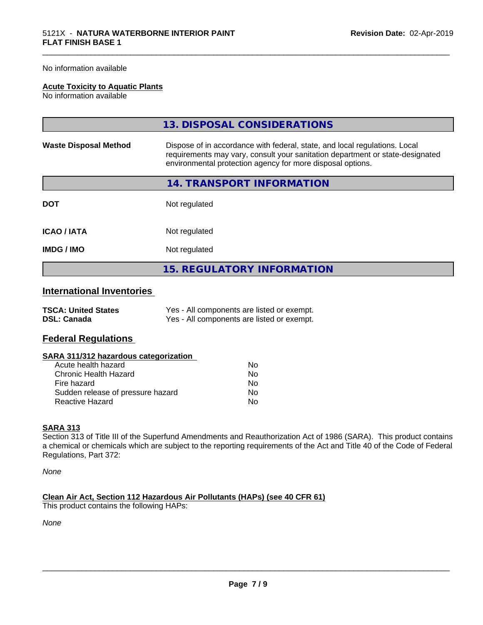#### No information available

#### **Acute Toxicity to Aquatic Plants**

No information available

|                              | 13. DISPOSAL CONSIDERATIONS                                                                                                                                                                                               |
|------------------------------|---------------------------------------------------------------------------------------------------------------------------------------------------------------------------------------------------------------------------|
| <b>Waste Disposal Method</b> | Dispose of in accordance with federal, state, and local regulations. Local<br>requirements may vary, consult your sanitation department or state-designated<br>environmental protection agency for more disposal options. |
|                              | 14. TRANSPORT INFORMATION                                                                                                                                                                                                 |
| <b>DOT</b>                   | Not regulated                                                                                                                                                                                                             |
| <b>ICAO/IATA</b>             | Not regulated                                                                                                                                                                                                             |
| <b>IMDG/IMO</b>              | Not regulated                                                                                                                                                                                                             |
|                              | <b>15. REGULATORY INFORMATION</b>                                                                                                                                                                                         |

\_\_\_\_\_\_\_\_\_\_\_\_\_\_\_\_\_\_\_\_\_\_\_\_\_\_\_\_\_\_\_\_\_\_\_\_\_\_\_\_\_\_\_\_\_\_\_\_\_\_\_\_\_\_\_\_\_\_\_\_\_\_\_\_\_\_\_\_\_\_\_\_\_\_\_\_\_\_\_\_\_\_\_\_\_\_\_\_\_\_\_\_\_

# **International Inventories**

| <b>TSCA: United States</b> | Yes - All components are listed or exempt. |
|----------------------------|--------------------------------------------|
| <b>DSL: Canada</b>         | Yes - All components are listed or exempt. |

# **Federal Regulations**

| SARA 311/312 hazardous categorization |  |
|---------------------------------------|--|
|---------------------------------------|--|

| Acute health hazard               | Nο |
|-----------------------------------|----|
| Chronic Health Hazard             | Nο |
| Fire hazard                       | N٥ |
| Sudden release of pressure hazard | Nο |
| Reactive Hazard                   | N٥ |

#### **SARA 313**

Section 313 of Title III of the Superfund Amendments and Reauthorization Act of 1986 (SARA). This product contains a chemical or chemicals which are subject to the reporting requirements of the Act and Title 40 of the Code of Federal Regulations, Part 372:

*None*

**Clean Air Act,Section 112 Hazardous Air Pollutants (HAPs) (see 40 CFR 61)** This product contains the following HAPs:

*None*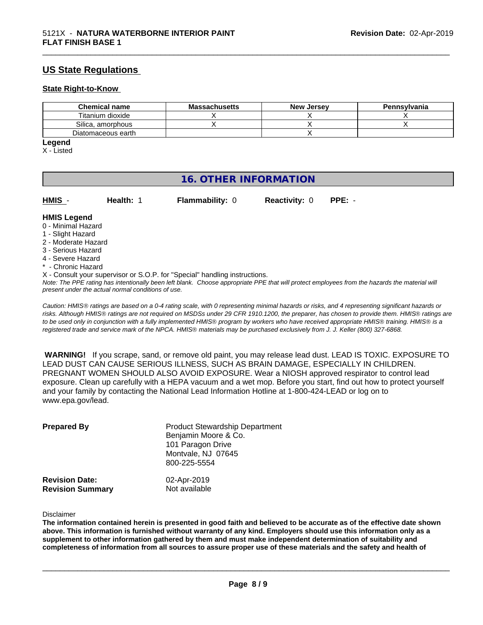# **US State Regulations**

#### **State Right-to-Know**

| <b>Chemical name</b> | <b>Massachusetts</b> | <b>New Jersey</b> | Pennsylvania |
|----------------------|----------------------|-------------------|--------------|
| Titanium dioxide     |                      |                   |              |
| Silica, amorphous    |                      |                   |              |
| Diatomaceous earth   |                      |                   |              |

\_\_\_\_\_\_\_\_\_\_\_\_\_\_\_\_\_\_\_\_\_\_\_\_\_\_\_\_\_\_\_\_\_\_\_\_\_\_\_\_\_\_\_\_\_\_\_\_\_\_\_\_\_\_\_\_\_\_\_\_\_\_\_\_\_\_\_\_\_\_\_\_\_\_\_\_\_\_\_\_\_\_\_\_\_\_\_\_\_\_\_\_\_

# **Legend**

X - Listed

# **16. OTHER INFORMATION**

| HMIS - | Health: 1 | <b>Flammability: 0</b> | Reactivity: $0$ PPE: - |  |
|--------|-----------|------------------------|------------------------|--|
|        |           |                        |                        |  |

#### **HMIS Legend**

- 0 Minimal Hazard
- 1 Slight Hazard
- 2 Moderate Hazard
- 3 Serious Hazard
- 4 Severe Hazard
- **Chronic Hazard**
- X Consult your supervisor or S.O.P. for "Special" handling instructions.

*Note: The PPE rating has intentionally been left blank. Choose appropriate PPE that will protect employees from the hazards the material will present under the actual normal conditions of use.*

*Caution: HMISÒ ratings are based on a 0-4 rating scale, with 0 representing minimal hazards or risks, and 4 representing significant hazards or risks. Although HMISÒ ratings are not required on MSDSs under 29 CFR 1910.1200, the preparer, has chosen to provide them. HMISÒ ratings are to be used only in conjunction with a fully implemented HMISÒ program by workers who have received appropriate HMISÒ training. HMISÒ is a registered trade and service mark of the NPCA. HMISÒ materials may be purchased exclusively from J. J. Keller (800) 327-6868.*

 **WARNING!** If you scrape, sand, or remove old paint, you may release lead dust. LEAD IS TOXIC. EXPOSURE TO LEAD DUST CAN CAUSE SERIOUS ILLNESS, SUCH AS BRAIN DAMAGE, ESPECIALLY IN CHILDREN. PREGNANT WOMEN SHOULD ALSO AVOID EXPOSURE.Wear a NIOSH approved respirator to control lead exposure. Clean up carefully with a HEPA vacuum and a wet mop. Before you start, find out how to protect yourself and your family by contacting the National Lead Information Hotline at 1-800-424-LEAD or log on to www.epa.gov/lead.

| <b>Prepared By</b>                               | <b>Product Stewardship Department</b><br>Benjamin Moore & Co.<br>101 Paragon Drive<br>Montvale, NJ 07645<br>800-225-5554 |  |
|--------------------------------------------------|--------------------------------------------------------------------------------------------------------------------------|--|
| <b>Revision Date:</b><br><b>Revision Summary</b> | 02-Apr-2019<br>Not available                                                                                             |  |

Disclaimer

The information contained herein is presented in good faith and believed to be accurate as of the effective date shown above. This information is furnished without warranty of any kind. Employers should use this information only as a **supplement to other information gathered by them and must make independent determination of suitability and** completeness of information from all sources to assure proper use of these materials and the safety and health of